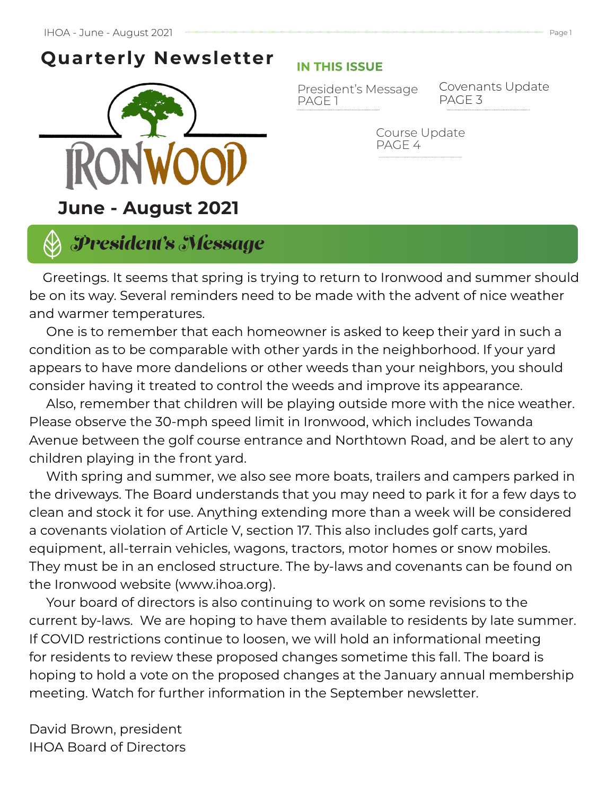# **Quarterly Newsletter**



### **IN THIS ISSUE**

President's Message Covena<br>PAGE 1 PAGE 3 PAGE 1

Covenants Update

Course Update PAGE 4

# *President's Message*

 Greetings. It seems that spring is trying to return to Ironwood and summer should be on its way. Several reminders need to be made with the advent of nice weather and warmer temperatures.

 One is to remember that each homeowner is asked to keep their yard in such a condition as to be comparable with other yards in the neighborhood. If your yard appears to have more dandelions or other weeds than your neighbors, you should consider having it treated to control the weeds and improve its appearance.

 Also, remember that children will be playing outside more with the nice weather. Please observe the 30-mph speed limit in Ironwood, which includes Towanda Avenue between the golf course entrance and Northtown Road, and be alert to any children playing in the front yard.

 With spring and summer, we also see more boats, trailers and campers parked in the driveways. The Board understands that you may need to park it for a few days to clean and stock it for use. Anything extending more than a week will be considered a covenants violation of Article V, section 17. This also includes golf carts, yard equipment, all-terrain vehicles, wagons, tractors, motor homes or snow mobiles. They must be in an enclosed structure. The by-laws and covenants can be found on the Ironwood website (www.ihoa.org).

 Your board of directors is also continuing to work on some revisions to the current by-laws. We are hoping to have them available to residents by late summer. If COVID restrictions continue to loosen, we will hold an informational meeting for residents to review these proposed changes sometime this fall. The board is hoping to hold a vote on the proposed changes at the January annual membership meeting. Watch for further information in the September newsletter.

David Brown, president IHOA Board of Directors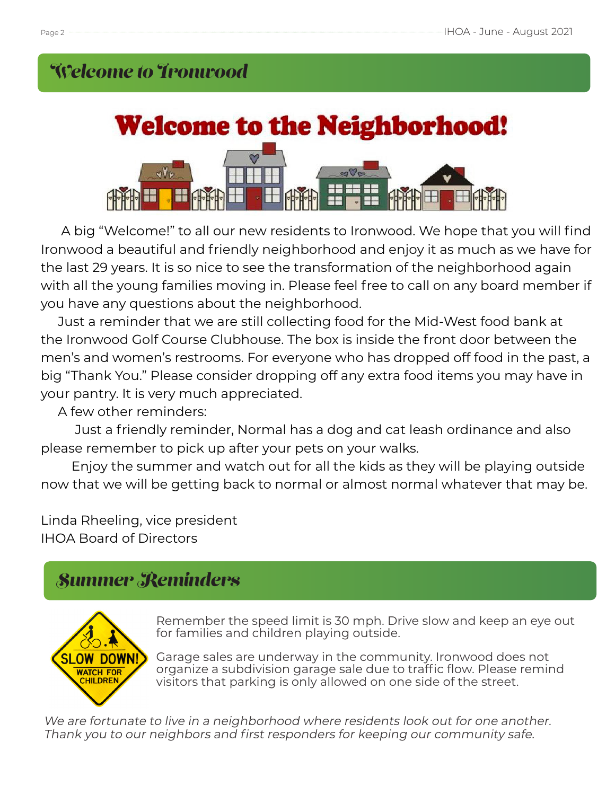# *Welcome to Ironwood*



 A big "Welcome!" to all our new residents to Ironwood. We hope that you will find Ironwood a beautiful and friendly neighborhood and enjoy it as much as we have for the last 29 years. It is so nice to see the transformation of the neighborhood again with all the young families moving in. Please feel free to call on any board member if you have any questions about the neighborhood.

 Just a reminder that we are still collecting food for the Mid-West food bank at the Ironwood Golf Course Clubhouse. The box is inside the front door between the men's and women's restrooms. For everyone who has dropped off food in the past, a big "Thank You." Please consider dropping off any extra food items you may have in your pantry. It is very much appreciated.

A few other reminders:

 Just a friendly reminder, Normal has a dog and cat leash ordinance and also please remember to pick up after your pets on your walks.

 Enjoy the summer and watch out for all the kids as they will be playing outside now that we will be getting back to normal or almost normal whatever that may be.

Linda Rheeling, vice president IHOA Board of Directors

# *Summer Reminders*



Remember the speed limit is 30 mph. Drive slow and keep an eye out for families and children playing outside.

Garage sales are underway in the community. Ironwood does not organize a subdivision garage sale due to traffic flow. Please remind visitors that parking is only allowed on one side of the street.

We are fortunate to live in a neighborhood where residents look out for one another. Thank you to our neighbors and first responders for keeping our community safe.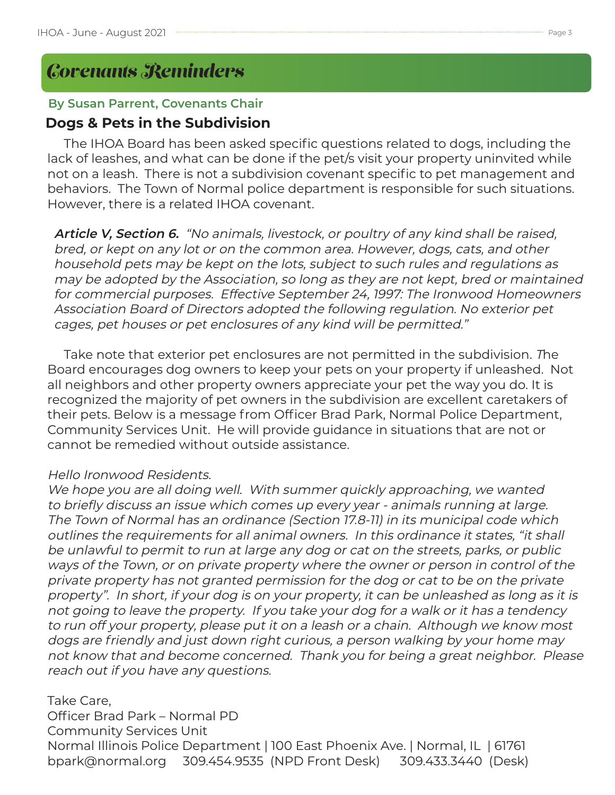# *Covenants Reminders*

### **By Susan Parrent, Covenants Chair**

## **Dogs & Pets in the Subdivision**

 The IHOA Board has been asked specific questions related to dogs, including the lack of leashes, and what can be done if the pet/s visit your property uninvited while not on a leash. There is not a subdivision covenant specific to pet management and behaviors. The Town of Normal police department is responsible for such situations. However, there is a related IHOA covenant.

 **Article V, Section 6.** "No animals, livestock, or poultry of any kind shall be raised, bred, or kept on any lot or on the common area. However, dogs, cats, and other household pets may be kept on the lots, subject to such rules and regulations as may be adopted by the Association, so long as they are not kept, bred or maintained for commercial purposes. Effective September 24, 1997: The Ironwood Homeowners Association Board of Directors adopted the following regulation. No exterior pet cages, pet houses or pet enclosures of any kind will be permitted."

 Take note that exterior pet enclosures are not permitted in the subdivision. The Board encourages dog owners to keep your pets on your property if unleashed. Not all neighbors and other property owners appreciate your pet the way you do. It is recognized the majority of pet owners in the subdivision are excellent caretakers of their pets. Below is a message from Officer Brad Park, Normal Police Department, Community Services Unit. He will provide guidance in situations that are not or cannot be remedied without outside assistance.

### Hello Ironwood Residents.

We hope you are all doing well. With summer quickly approaching, we wanted to briefly discuss an issue which comes up every year - animals running at large. The Town of Normal has an ordinance (Section 17.8-11) in its municipal code which outlines the requirements for all animal owners. In this ordinance it states, "it shall be unlawful to permit to run at large any dog or cat on the streets, parks, or public ways of the Town, or on private property where the owner or person in control of the private property has not granted permission for the dog or cat to be on the private property". In short, if your dog is on your property, it can be unleashed as long as it is not going to leave the property. If you take your dog for a walk or it has a tendency to run off your property, please put it on a leash or a chain. Although we know most dogs are friendly and just down right curious, a person walking by your home may not know that and become concerned. Thank you for being a great neighbor. Please reach out if you have any questions.

Take Care, Officer Brad Park – Normal PD Community Services Unit Normal Illinois Police Department | 100 East Phoenix Ave. | Normal, IL | 61761 bpark@normal.org 309.454.9535 (NPD Front Desk) 309.433.3440 (Desk)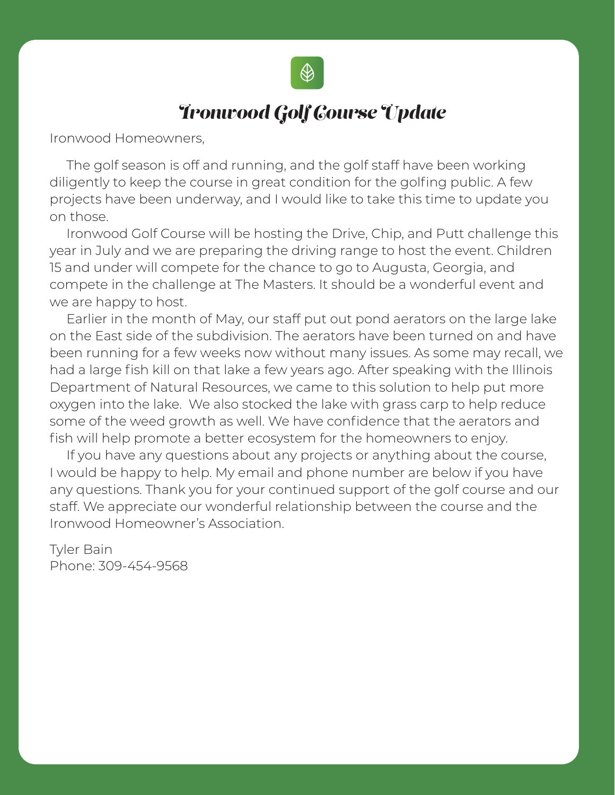

## *Ironwood Golf Course Update*

Ironwood Homeowners,

 The golf season is off and running, and the golf staff have been working diligently to keep the course in great condition for the golfing public. A few projects have been underway, and I would like to take this time to update you on those.

 Ironwood Golf Course will be hosting the Drive, Chip, and Putt challenge this year in July and we are preparing the driving range to host the event. Children 15 and under will compete for the chance to go to Augusta, Georgia, and compete in the challenge at The Masters. It should be a wonderful event and we are happy to host.

 Earlier in the month of May, our staff put out pond aerators on the large lake on the East side of the subdivision. The aerators have been turned on and have been running for a few weeks now without many issues. As some may recall, we had a large fish kill on that lake a few years ago. After speaking with the Illinois Department of Natural Resources, we came to this solution to help put more oxygen into the lake. We also stocked the lake with grass carp to help reduce some of the weed growth as well. We have confidence that the aerators and fish will help promote a better ecosystem for the homeowners to enjoy.

 If you have any questions about any projects or anything about the course, I would be happy to help. My email and phone number are below if you have any questions. Thank you for your continued support of the golf course and our staff. We appreciate our wonderful relationship between the course and the Ironwood Homeowner's Association.

Tyler Bain Phone: 309-454-9568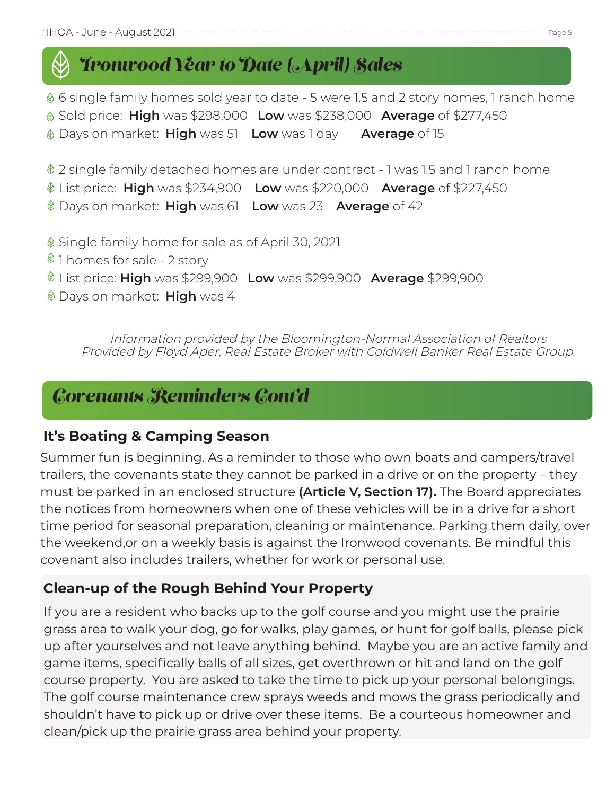# *Ironwood Year to Date (April) Sales*

 $\textcircled{\tiny{\textcirc}}$  6 single family homes sold year to date - 5 were 1.5 and 2 story homes, 1 ranch home

Sold price: **High** was \$298,000 **Low** was \$238,000 **Average** of \$277,450

Days on market: **High** was 51 **Low** was 1 day **Average** of 15

2 single family detached homes are under contract - 1 was 1.5 and 1 ranch home

List price: **High** was \$234,900 **Low** was \$220,000 **Average** of \$227,450

Days on market: **High** was 61 **Low** was 23 **Average** of 42

Single family home for sale as of April 30, 2021

 $$1$  homes for sale - 2 story

List price: **High** was \$299,900 **Low** was \$299,900 **Average** \$299,900

Days on market: **High** was 4

Information provided by the Bloomington-Normal Association of Realtors Provided by Floyd Aper, Real Estate Broker with Coldwell Banker Real Estate Group.

## *Covenants Reminders Cont'd*

## **It's Boating & Camping Season**

Summer fun is beginning. As a reminder to those who own boats and campers/travel trailers, the covenants state they cannot be parked in a drive or on the property – they must be parked in an enclosed structure **(Article V, Section 17).** The Board appreciates the notices from homeowners when one of these vehicles will be in a drive for a short time period for seasonal preparation, cleaning or maintenance. Parking them daily, over the weekend,or on a weekly basis is against the Ironwood covenants. Be mindful this covenant also includes trailers, whether for work or personal use.

## **Clean-up of the Rough Behind Your Property**

If you are a resident who backs up to the golf course and you might use the prairie grass area to walk your dog, go for walks, play games, or hunt for golf balls, please pick up after yourselves and not leave anything behind. Maybe you are an active family and game items, specifically balls of all sizes, get overthrown or hit and land on the golf course property. You are asked to take the time to pick up your personal belongings. The golf course maintenance crew sprays weeds and mows the grass periodically and shouldn't have to pick up or drive over these items. Be a courteous homeowner and clean/pick up the prairie grass area behind your property.